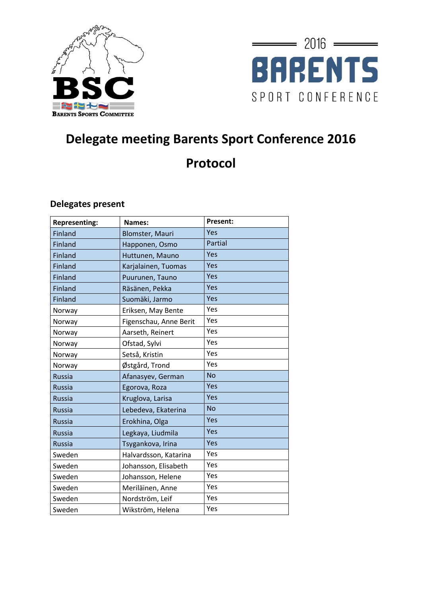



# **Delegate meeting Barents Sport Conference 2016 Protocol**

#### **Delegates present**

| <b>Representing:</b> | Names:                 | <b>Present:</b> |
|----------------------|------------------------|-----------------|
| Finland              | <b>Blomster, Mauri</b> | Yes             |
| Finland              | Happonen, Osmo         | Partial         |
| Finland              | Huttunen, Mauno        | Yes             |
| <b>Finland</b>       | Karjalainen, Tuomas    | Yes             |
| Finland              | Puurunen, Tauno        | Yes             |
| Finland              | Räsänen, Pekka         | Yes             |
| Finland              | Suomäki, Jarmo         | Yes             |
| Norway               | Eriksen, May Bente     | Yes             |
| Norway               | Figenschau, Anne Berit | Yes             |
| Norway               | Aarseth, Reinert       | Yes             |
| Norway               | Ofstad, Sylvi          | Yes             |
| Norway               | Setså, Kristin         | Yes             |
| Norway               | Østgård, Trond         | Yes             |
| <b>Russia</b>        | Afanasyev, German      | <b>No</b>       |
| <b>Russia</b>        | Egorova, Roza          | Yes             |
| <b>Russia</b>        | Kruglova, Larisa       | Yes             |
| <b>Russia</b>        | Lebedeva, Ekaterina    | <b>No</b>       |
| <b>Russia</b>        | Erokhina, Olga         | Yes             |
| <b>Russia</b>        | Legkaya, Liudmila      | Yes             |
| <b>Russia</b>        | Tsygankova, Irina      | Yes             |
| Sweden               | Halvardsson, Katarina  | Yes             |
| Sweden               | Johansson, Elisabeth   | Yes             |
| Sweden               | Johansson, Helene      | Yes             |
| Sweden               | Meriläinen, Anne       | Yes             |
| Sweden               | Nordström, Leif        | Yes             |
| Sweden               | Wikström, Helena       | Yes             |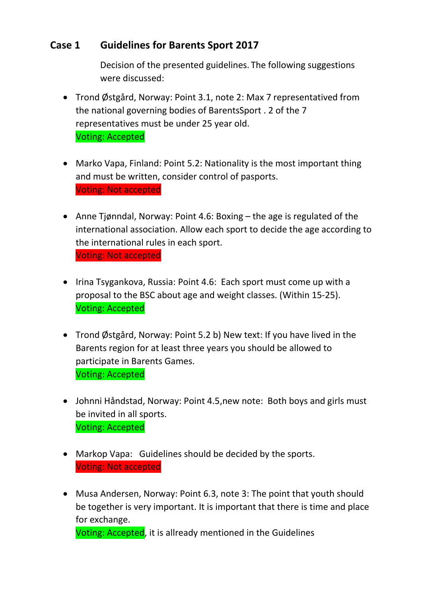### **Case 1 Guidelines for Barents Sport 2017**

Decision of the presented guidelines. The following suggestions were discussed:

- Trond Østgård, Norway: Point 3.1, note 2: Max 7 representatived from the national governing bodies of BarentsSport . 2 of the 7 representatives must be under 25 year old. Voting: Accepted
- Marko Vapa, Finland: Point 5.2: Nationality is the most important thing and must be written, consider control of pasports. Voting: Not accepted
- Anne Tjønndal, Norway: Point 4.6: Boxing the age is regulated of the international association. Allow each sport to decide the age according to the international rules in each sport. Voting: Not accepted
- Irina Tsygankova, Russia: Point 4.6: Each sport must come up with a proposal to the BSC about age and weight classes. (Within 15-25). Voting: Accepted
- Trond Østgård, Norway: Point 5.2 b) New text: If you have lived in the Barents region for at least three years you should be allowed to participate in Barents Games. Voting: Accepted
- Johnni Håndstad, Norway: Point 4.5,new note: Both boys and girls must be invited in all sports. Voting: Accepted
- Markop Vapa: Guidelines should be decided by the sports. Voting: Not accepted
- Musa Andersen, Norway: Point 6.3, note 3: The point that youth should be together is very important. It is important that there is time and place for exchange.

Voting: Accepted, it is allready mentioned in the Guidelines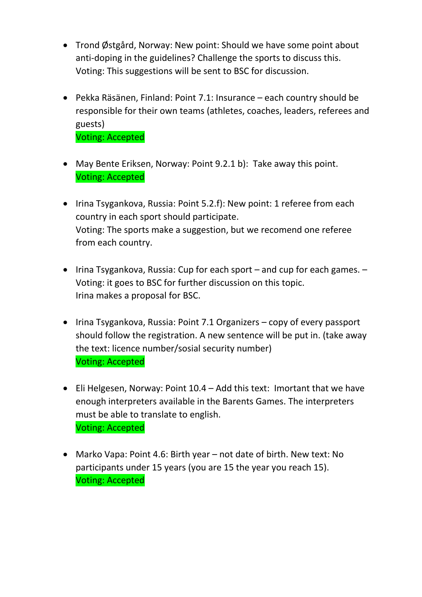- Trond Østgård, Norway: New point: Should we have some point about anti-doping in the guidelines? Challenge the sports to discuss this. Voting: This suggestions will be sent to BSC for discussion.
- Pekka Räsänen, Finland: Point 7.1: Insurance each country should be responsible for their own teams (athletes, coaches, leaders, referees and guests) Voting: Accepted
- May Bente Eriksen, Norway: Point 9.2.1 b): Take away this point. Voting: Accepted
- Irina Tsygankova, Russia: Point 5.2.f): New point: 1 referee from each country in each sport should participate. Voting: The sports make a suggestion, but we recomend one referee from each country.
- $\bullet$  Irina Tsygankova, Russia: Cup for each sport and cup for each games. Voting: it goes to BSC for further discussion on this topic. Irina makes a proposal for BSC.
- Irina Tsygankova, Russia: Point 7.1 Organizers copy of every passport should follow the registration. A new sentence will be put in. (take away the text: licence number/sosial security number) Voting: Accepted
- Eli Helgesen, Norway: Point 10.4 Add this text: Imortant that we have enough interpreters available in the Barents Games. The interpreters must be able to translate to english. Voting: Accepted
- Marko Vapa: Point 4.6: Birth year not date of birth. New text: No participants under 15 years (you are 15 the year you reach 15). Voting: Accepted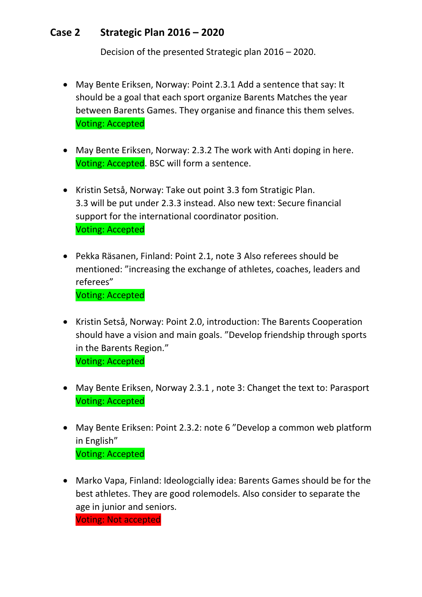### **Case 2 Strategic Plan 2016 – 2020**

Decision of the presented Strategic plan 2016 – 2020.

- May Bente Eriksen, Norway: Point 2.3.1 Add a sentence that say: It should be a goal that each sport organize Barents Matches the year between Barents Games. They organise and finance this them selves. Voting: Accepted
- May Bente Eriksen, Norway: 2.3.2 The work with Anti doping in here. Voting: Accepted. BSC will form a sentence.
- Kristin Setså, Norway: Take out point 3.3 fom Stratigic Plan. 3.3 will be put under 2.3.3 instead. Also new text: Secure financial support for the international coordinator position. Voting: Accepted
- Pekka Räsanen, Finland: Point 2.1, note 3 Also referees should be mentioned: "increasing the exchange of athletes, coaches, leaders and referees" Voting: Accepted
- Kristin Setså, Norway: Point 2.0, introduction: The Barents Cooperation should have a vision and main goals. "Develop friendship through sports in the Barents Region." Voting: Accepted
- May Bente Eriksen, Norway 2.3.1 , note 3: Changet the text to: Parasport Voting: Accepted
- May Bente Eriksen: Point 2.3.2: note 6 "Develop a common web platform in English" Voting: Accepted
- Marko Vapa, Finland: Ideologcially idea: Barents Games should be for the best athletes. They are good rolemodels. Also consider to separate the age in junior and seniors.

Voting: Not accepted